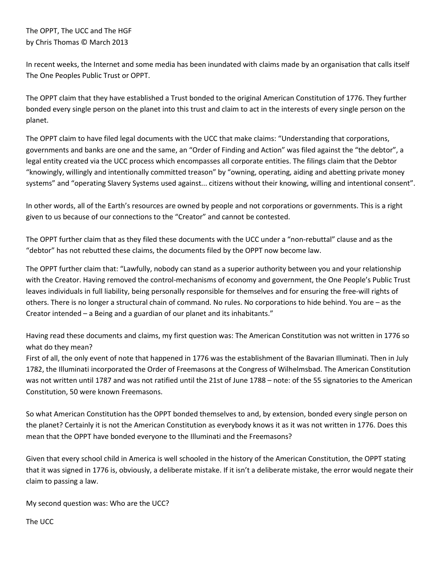## The OPPT, The UCC and The HGF by Chris Thomas © March 2013

In recent weeks, the Internet and some media has been inundated with claims made by an organisation that calls itself The One Peoples Public Trust or OPPT.

The OPPT claim that they have established a Trust bonded to the original American Constitution of 1776. They further bonded every single person on the planet into this trust and claim to act in the interests of every single person on the planet.

The OPPT claim to have filed legal documents with the UCC that make claims: "Understanding that corporations, governments and banks are one and the same, an "Order of Finding and Action" was filed against the "the debtor", a legal entity created via the UCC process which encompasses all corporate entities. The filings claim that the Debtor "knowingly, willingly and intentionally committed treason" by "owning, operating, aiding and abetting private money systems" and "operating Slavery Systems used against... citizens without their knowing, willing and intentional consent".

In other words, all of the Earth's resources are owned by people and not corporations or governments. This is a right given to us because of our connections to the "Creator" and cannot be contested.

The OPPT further claim that as they filed these documents with the UCC under a "non-rebuttal" clause and as the "debtor" has not rebutted these claims, the documents filed by the OPPT now become law.

The OPPT further claim that: "Lawfully, nobody can stand as a superior authority between you and your relationship with the Creator. Having removed the control-mechanisms of economy and government, the One People's Public Trust leaves individuals in full liability, being personally responsible for themselves and for ensuring the free-will rights of others. There is no longer a structural chain of command. No rules. No corporations to hide behind. You are – as the Creator intended – a Being and a guardian of our planet and its inhabitants."

Having read these documents and claims, my first question was: The American Constitution was not written in 1776 so what do they mean?

First of all, the only event of note that happened in 1776 was the establishment of the Bavarian Illuminati. Then in July 1782, the Illuminati incorporated the Order of Freemasons at the Congress of Wilhelmsbad. The American Constitution was not written until 1787 and was not ratified until the 21st of June 1788 – note: of the 55 signatories to the American Constitution, 50 were known Freemasons.

So what American Constitution has the OPPT bonded themselves to and, by extension, bonded every single person on the planet? Certainly it is not the American Constitution as everybody knows it as it was not written in 1776. Does this mean that the OPPT have bonded everyone to the Illuminati and the Freemasons?

Given that every school child in America is well schooled in the history of the American Constitution, the OPPT stating that it was signed in 1776 is, obviously, a deliberate mistake. If it isn't a deliberate mistake, the error would negate their claim to passing a law.

My second question was: Who are the UCC?

The UCC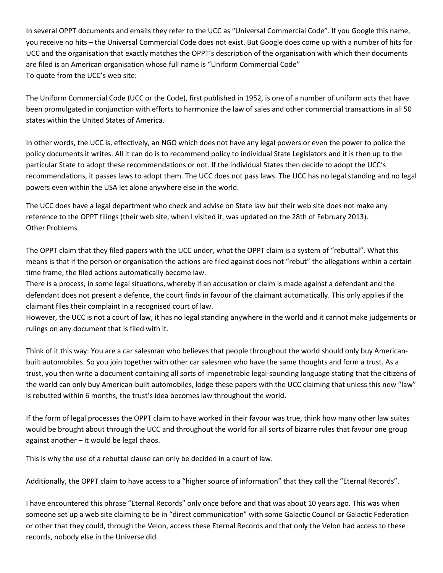In several OPPT documents and emails they refer to the UCC as "Universal Commercial Code". If you Google this name, you receive no hits – the Universal Commercial Code does not exist. But Google does come up with a number of hits for UCC and the organisation that exactly matches the OPPT's description of the organisation with which their documents are filed is an American organisation whose full name is "Uniform Commercial Code" To quote from the UCC's web site:

The Uniform Commercial Code (UCC or the Code), first published in 1952, is one of a number of uniform acts that have been promulgated in conjunction with efforts to harmonize the law of sales and other commercial transactions in all 50 states within the United States of America.

In other words, the UCC is, effectively, an NGO which does not have any legal powers or even the power to police the policy documents it writes. All it can do is to recommend policy to individual State Legislators and it is then up to the particular State to adopt these recommendations or not. If the individual States then decide to adopt the UCC's recommendations, it passes laws to adopt them. The UCC does not pass laws. The UCC has no legal standing and no legal powers even within the USA let alone anywhere else in the world.

The UCC does have a legal department who check and advise on State law but their web site does not make any reference to the OPPT filings (their web site, when I visited it, was updated on the 28th of February 2013). Other Problems

The OPPT claim that they filed papers with the UCC under, what the OPPT claim is a system of "rebuttal". What this means is that if the person or organisation the actions are filed against does not "rebut" the allegations within a certain time frame, the filed actions automatically become law.

There is a process, in some legal situations, whereby if an accusation or claim is made against a defendant and the defendant does not present a defence, the court finds in favour of the claimant automatically. This only applies if the claimant files their complaint in a recognised court of law.

However, the UCC is not a court of law, it has no legal standing anywhere in the world and it cannot make judgements or rulings on any document that is filed with it.

Think of it this way: You are a car salesman who believes that people throughout the world should only buy Americanbuilt automobiles. So you join together with other car salesmen who have the same thoughts and form a trust. As a trust, you then write a document containing all sorts of impenetrable legal-sounding language stating that the citizens of the world can only buy American-built automobiles, lodge these papers with the UCC claiming that unless this new "law" is rebutted within 6 months, the trust's idea becomes law throughout the world.

If the form of legal processes the OPPT claim to have worked in their favour was true, think how many other law suites would be brought about through the UCC and throughout the world for all sorts of bizarre rules that favour one group against another – it would be legal chaos.

This is why the use of a rebuttal clause can only be decided in a court of law.

Additionally, the OPPT claim to have access to a "higher source of information" that they call the "Eternal Records".

I have encountered this phrase "Eternal Records" only once before and that was about 10 years ago. This was when someone set up a web site claiming to be in "direct communication" with some Galactic Council or Galactic Federation or other that they could, through the Velon, access these Eternal Records and that only the Velon had access to these records, nobody else in the Universe did.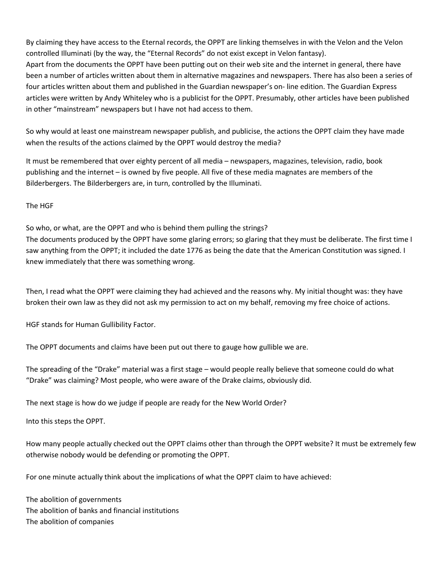By claiming they have access to the Eternal records, the OPPT are linking themselves in with the Velon and the Velon controlled Illuminati (by the way, the "Eternal Records" do not exist except in Velon fantasy).

Apart from the documents the OPPT have been putting out on their web site and the internet in general, there have been a number of articles written about them in alternative magazines and newspapers. There has also been a series of four articles written about them and published in the Guardian newspaper's on- line edition. The Guardian Express articles were written by Andy Whiteley who is a publicist for the OPPT. Presumably, other articles have been published in other "mainstream" newspapers but I have not had access to them.

So why would at least one mainstream newspaper publish, and publicise, the actions the OPPT claim they have made when the results of the actions claimed by the OPPT would destroy the media?

It must be remembered that over eighty percent of all media – newspapers, magazines, television, radio, book publishing and the internet – is owned by five people. All five of these media magnates are members of the Bilderbergers. The Bilderbergers are, in turn, controlled by the Illuminati.

The HGF

So who, or what, are the OPPT and who is behind them pulling the strings? The documents produced by the OPPT have some glaring errors; so glaring that they must be deliberate. The first time I saw anything from the OPPT; it included the date 1776 as being the date that the American Constitution was signed. I knew immediately that there was something wrong.

Then, I read what the OPPT were claiming they had achieved and the reasons why. My initial thought was: they have broken their own law as they did not ask my permission to act on my behalf, removing my free choice of actions.

HGF stands for Human Gullibility Factor.

The OPPT documents and claims have been put out there to gauge how gullible we are.

The spreading of the "Drake" material was a first stage – would people really believe that someone could do what "Drake" was claiming? Most people, who were aware of the Drake claims, obviously did.

The next stage is how do we judge if people are ready for the New World Order?

Into this steps the OPPT.

How many people actually checked out the OPPT claims other than through the OPPT website? It must be extremely few otherwise nobody would be defending or promoting the OPPT.

For one minute actually think about the implications of what the OPPT claim to have achieved:

The abolition of governments The abolition of banks and financial institutions The abolition of companies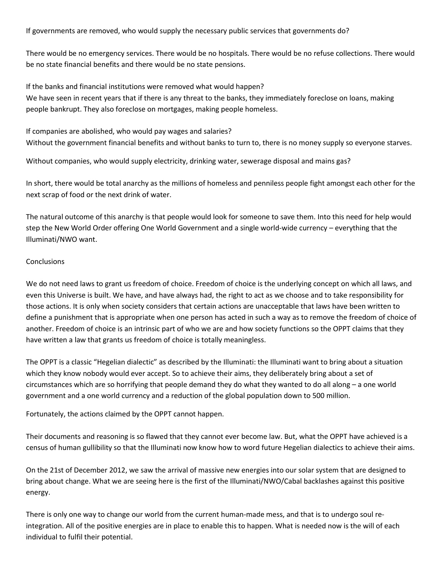If governments are removed, who would supply the necessary public services that governments do?

There would be no emergency services. There would be no hospitals. There would be no refuse collections. There would be no state financial benefits and there would be no state pensions.

If the banks and financial institutions were removed what would happen? We have seen in recent years that if there is any threat to the banks, they immediately foreclose on loans, making people bankrupt. They also foreclose on mortgages, making people homeless.

If companies are abolished, who would pay wages and salaries?

Without the government financial benefits and without banks to turn to, there is no money supply so everyone starves.

Without companies, who would supply electricity, drinking water, sewerage disposal and mains gas?

In short, there would be total anarchy as the millions of homeless and penniless people fight amongst each other for the next scrap of food or the next drink of water.

The natural outcome of this anarchy is that people would look for someone to save them. Into this need for help would step the New World Order offering One World Government and a single world-wide currency – everything that the Illuminati/NWO want.

## **Conclusions**

We do not need laws to grant us freedom of choice. Freedom of choice is the underlying concept on which all laws, and even this Universe is built. We have, and have always had, the right to act as we choose and to take responsibility for those actions. It is only when society considers that certain actions are unacceptable that laws have been written to define a punishment that is appropriate when one person has acted in such a way as to remove the freedom of choice of another. Freedom of choice is an intrinsic part of who we are and how society functions so the OPPT claims that they have written a law that grants us freedom of choice is totally meaningless.

The OPPT is a classic "Hegelian dialectic" as described by the Illuminati: the Illuminati want to bring about a situation which they know nobody would ever accept. So to achieve their aims, they deliberately bring about a set of circumstances which are so horrifying that people demand they do what they wanted to do all along – a one world government and a one world currency and a reduction of the global population down to 500 million.

Fortunately, the actions claimed by the OPPT cannot happen.

Their documents and reasoning is so flawed that they cannot ever become law. But, what the OPPT have achieved is a census of human gullibility so that the Illuminati now know how to word future Hegelian dialectics to achieve their aims.

On the 21st of December 2012, we saw the arrival of massive new energies into our solar system that are designed to bring about change. What we are seeing here is the first of the Illuminati/NWO/Cabal backlashes against this positive energy.

There is only one way to change our world from the current human-made mess, and that is to undergo soul reintegration. All of the positive energies are in place to enable this to happen. What is needed now is the will of each individual to fulfil their potential.